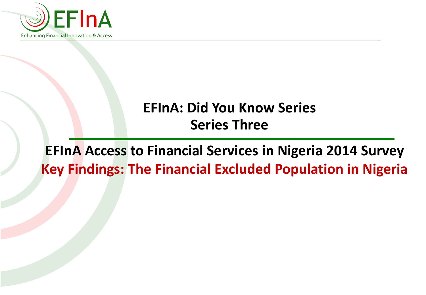

# **EFInA: Did You Know Series Series Three**

# **EFInA Access to Financial Services in Nigeria 2014 Survey Key Findings: The Financial Excluded Population in Nigeria**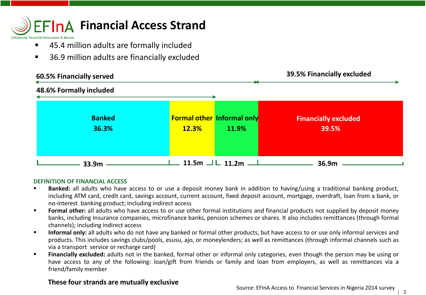

- 45.4 million adults are formally included
- 36.9 million adults are financially excluded



#### **DEFINITION OF FINANCIAL ACCESS**

- **Banked:** all adults who have access to or use a deposit money bank in addition to having/using a traditional banking product, including ATM card, credit card, savings account, current account, fixed deposit account, mortgage, overdraft, loan from a bank, or no-interest banking product; including indirect access
- **Formal other:** all adults who have access to or use other formal institutions and financial products not supplied by deposit money banks, including Insurance companies, microfinance banks, pension schemes or shares. It also includes remittances (through formal channels); including indirect access
- **Informal only:** all adults who do not have any banked or formal other products, but have access to or use only informal services and products. This includes savings clubs/pools, esusu, ajo, or moneylenders; as well as remittances (through informal channels such as via a transport service or recharge card)
- **Financially excluded:** adults not in the banked, formal other or informal only categories, even though the person may be using or have access to any of the following: loan/gift from friends or family and loan from employers, as well as remittances via a friend/family member

#### **These four strands are mutually exclusive**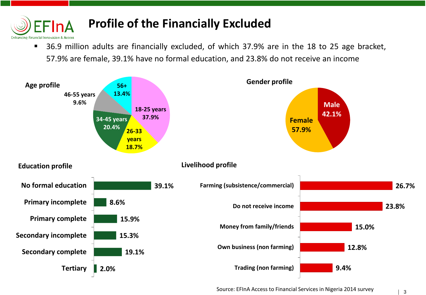

# **Profile of the Financially Excluded**

 36.9 million adults are financially excluded, of which 37.9% are in the 18 to 25 age bracket, 57.9% are female, 39.1% have no formal education, and 23.8% do not receive an income



Source: EFInA Access to Financial Services in Nigeria 2014 survey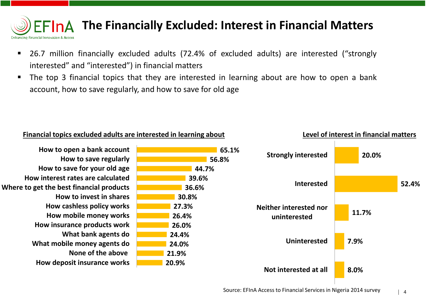

# **The Financially Excluded: Interest in Financial Matters**

- 26.7 million financially excluded adults (72.4% of excluded adults) are interested ("strongly interested" and "interested") in financial matters
- The top 3 financial topics that they are interested in learning about are how to open a bank account, how to save regularly, and how to save for old age

## **Financial topics excluded adults are interested in learning about**

**How deposit insurance works None of the above What mobile money agents do What bank agents do How insurance products work How mobile money works How cashless policy works How to invest in shares Where to get the best financial products How interest rates are calculated How to save for your old age How to save regularly How to open a bank account**



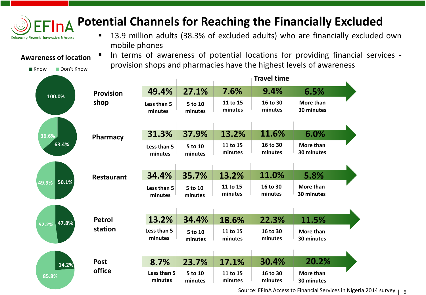

**Awareness of location**

**Know Don't Know** 

# **Potential Channels for Reaching the Financially Excluded**

- 13.9 million adults (38.3% of excluded adults) who are financially excluded own mobile phones
- In terms of awareness of potential locations for providing financial services provision shops and pharmacies have the highest levels of awareness



Source: EFInA Access to Financial Services in Nigeria 2014 survey  $\frac{1}{1}$  5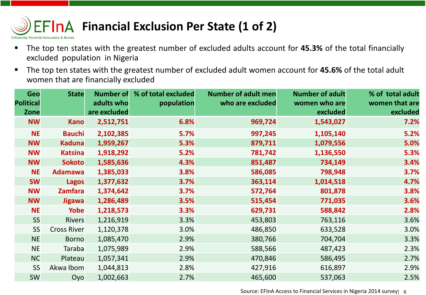

- The top ten states with the greatest number of excluded adults account for **45.3%** of the total financially excluded population in Nigeria
- The top ten states with the greatest number of excluded adult women account for **45.6%** of the total adult women that are financially excluded

| <b>Geo</b>       | <b>State</b>       | <b>Number of</b> | % of total excluded | <b>Number of adult men</b> | <b>Number of adult</b> | % of total adult |
|------------------|--------------------|------------------|---------------------|----------------------------|------------------------|------------------|
| <b>Political</b> |                    | adults who       | population          | who are excluded           | women who are          | women that are   |
| <b>Zone</b>      |                    | are excluded     |                     |                            | excluded               | excluded         |
| <b>NW</b>        | <b>Kano</b>        | 2,512,751        | 6.8%                | 969,724                    | 1,543,027              | 7.2%             |
| <b>NE</b>        | <b>Bauchi</b>      | 2,102,385        | 5.7%                | 997,245                    | 1,105,140              | 5.2%             |
| <b>NW</b>        | <b>Kaduna</b>      | 1,959,267        | 5.3%                | 879,711                    | 1,079,556              | 5.0%             |
| <b>NW</b>        | <b>Katsina</b>     | 1,918,292        | 5.2%                | 781,742                    | 1,136,550              | 5.3%             |
| <b>NW</b>        | <b>Sokoto</b>      | 1,585,636        | 4.3%                | 851,487                    | 734,149                | 3.4%             |
| <b>NE</b>        | <b>Adamawa</b>     | 1,385,033        | 3.8%                | 586,085                    | 798,948                | 3.7%             |
| <b>SW</b>        | <b>Lagos</b>       | 1,377,632        | 3.7%                | 363,114                    | 1,014,518              | 4.7%             |
| <b>NW</b>        | <b>Zamfara</b>     | 1,374,642        | 3.7%                | 572,764                    | 801,878                | 3.8%             |
| <b>NW</b>        | <b>Jigawa</b>      | 1,286,489        | 3.5%                | 515,454                    | 771,035                | 3.6%             |
| <b>NE</b>        | <b>Yobe</b>        | 1,218,573        | 3.3%                | 629,731                    | 588,842                | 2.8%             |
| <b>SS</b>        | <b>Rivers</b>      | 1,216,919        | 3.3%                | 453,803                    | 763,116                | 3.6%             |
| <b>SS</b>        | <b>Cross River</b> | 1,120,378        | 3.0%                | 486,850                    | 633,528                | 3.0%             |
| <b>NE</b>        | <b>Borno</b>       | 1,085,470        | 2.9%                | 380,766                    | 704,704                | 3.3%             |
| <b>NE</b>        | Taraba             | 1,075,989        | 2.9%                | 588,566                    | 487,423                | 2.3%             |
| <b>NC</b>        | Plateau            | 1,057,341        | 2.9%                | 470,846                    | 586,495                | 2.7%             |
| <b>SS</b>        | Akwa Ibom          | 1,044,813        | 2.8%                | 427,916                    | 616,897                | 2.9%             |
| SW               | Oyo                | 1,002,663        | 2.7%                | 465,600                    | 537,063                | 2.5%             |

Source: EFInA Access to Financial Services in Nigeria 2014 survey| 6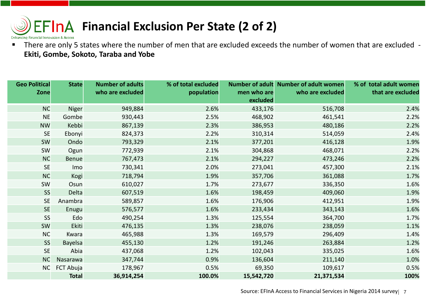

 There are only 5 states where the number of men that are excluded exceeds the number of women that are excluded - **Ekiti, Gombe, Sokoto, Taraba and Yobe**

| <b>Geo Political</b> | <b>State</b>   | <b>Number of adults</b> | % of total excluded |             | Number of adult Number of adult women | % of total adult women |
|----------------------|----------------|-------------------------|---------------------|-------------|---------------------------------------|------------------------|
| Zone                 |                | who are excluded        | population          | men who are | who are excluded                      | that are excluded      |
|                      |                |                         |                     | excluded    |                                       |                        |
| <b>NC</b>            | <b>Niger</b>   | 949,884                 | 2.6%                | 433,176     | 516,708                               | 2.4%                   |
| <b>NE</b>            | Gombe          | 930,443                 | 2.5%                | 468,902     | 461,541                               | 2.2%                   |
| <b>NW</b>            | Kebbi          | 867,139                 | 2.3%                | 386,953     | 480,186                               | 2.2%                   |
| <b>SE</b>            | Ebonyi         | 824,373                 | 2.2%                | 310,314     | 514,059                               | 2.4%                   |
| SW                   | Ondo           | 793,329                 | 2.1%                | 377,201     | 416,128                               | 1.9%                   |
| SW                   | Ogun           | 772,939                 | 2.1%                | 304,868     | 468,071                               | 2.2%                   |
| <b>NC</b>            | Benue          | 767,473                 | 2.1%                | 294,227     | 473,246                               | 2.2%                   |
| <b>SE</b>            | Imo            | 730,341                 | 2.0%                | 273,041     | 457,300                               | 2.1%                   |
| <b>NC</b>            | Kogi           | 718,794                 | 1.9%                | 357,706     | 361,088                               | 1.7%                   |
| SW                   | Osun           | 610,027                 | 1.7%                | 273,677     | 336,350                               | 1.6%                   |
| SS                   | Delta          | 607,519                 | 1.6%                | 198,459     | 409,060                               | 1.9%                   |
| <b>SE</b>            | Anambra        | 589,857                 | 1.6%                | 176,906     | 412,951                               | 1.9%                   |
| <b>SE</b>            | Enugu          | 576,577                 | 1.6%                | 233,434     | 343,143                               | 1.6%                   |
| SS                   | Edo            | 490,254                 | 1.3%                | 125,554     | 364,700                               | 1.7%                   |
| SW                   | Ekiti          | 476,135                 | 1.3%                | 238,076     | 238,059                               | 1.1%                   |
| <b>NC</b>            | Kwara          | 465,988                 | 1.3%                | 169,579     | 296,409                               | 1.4%                   |
| <b>SS</b>            | <b>Bayelsa</b> | 455,130                 | 1.2%                | 191,246     | 263,884                               | 1.2%                   |
| <b>SE</b>            | Abia           | 437,068                 | 1.2%                | 102,043     | 335,025                               | 1.6%                   |
| <b>NC</b>            | Nasarawa       | 347,744                 | 0.9%                | 136,604     | 211,140                               | 1.0%                   |
| <b>NC</b>            | FCT Abuja      | 178,967                 | 0.5%                | 69,350      | 109,617                               | 0.5%                   |
|                      | <b>Total</b>   | 36,914,254              | 100.0%              | 15,542,720  | 21,371,534                            | 100%                   |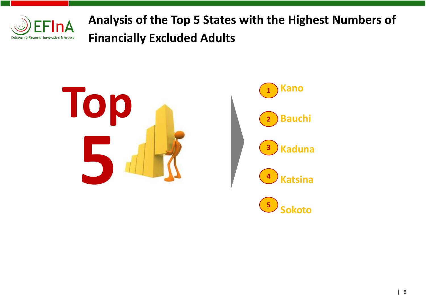

**Analysis of the Top 5 States with the Highest Numbers of Financially Excluded Adults**



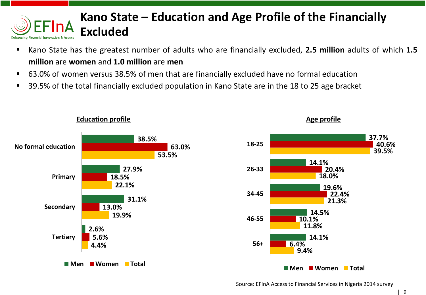## **Kano State – Education and Age Profile of the Financially Excluded Financial Innovation & Acces**

- Kano State has the greatest number of adults who are financially excluded, **2.5 million** adults of which **1.5 million** are **women** and **1.0 million** are **men**
- 63.0% of women versus 38.5% of men that are financially excluded have no formal education
- 39.5% of the total financially excluded population in Kano State are in the 18 to 25 age bracket







Source: EFInA Access to Financial Services in Nigeria 2014 survey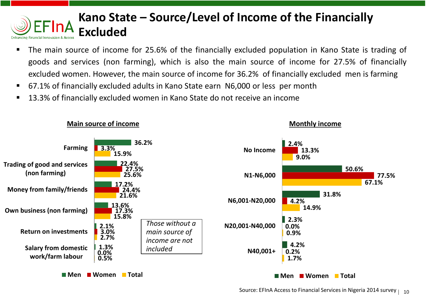## **Kano State – Source/Level of Income of the Financially Excluded Enhancing Financial Innovation**

- The main source of income for 25.6% of the financially excluded population in Kano State is trading of goods and services (non farming), which is also the main source of income for 27.5% of financially excluded women. However, the main source of income for 36.2% of financially excluded men is farming
- 67.1% of financially excluded adults in Kano State earn N6,000 or less per month
- 13.3% of financially excluded women in Kano State do not receive an income

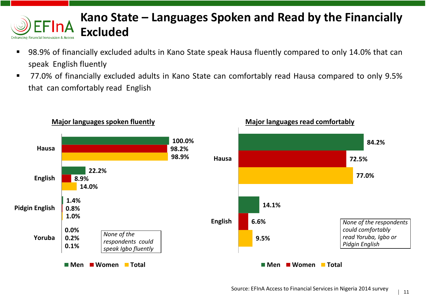## **Kano State – Languages Spoken and Read by the Financially Excluded** Enhancing Financial Innovation & Acces

- 98.9% of financially excluded adults in Kano State speak Hausa fluently compared to only 14.0% that can speak English fluently
- 77.0% of financially excluded adults in Kano State can comfortably read Hausa compared to only 9.5% that can comfortably read English

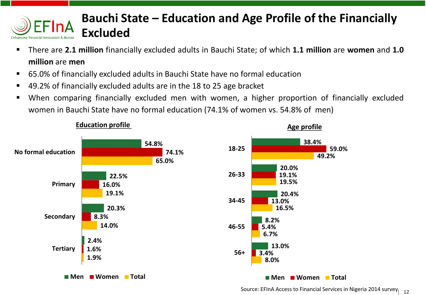

# **Bauchi State – Education and Age Profile of the Financially Excluded**

- There are **2.1 million** financially excluded adults in Bauchi State; of which **1.1 million** are **women** and **1.0 million** are **men**
- 65.0% of financially excluded adults in Bauchi State have no formal education
- 49.2% of financially excluded adults are in the 18 to 25 age bracket
- When comparing financially excluded men with women, a higher proportion of financially excluded women in Bauchi State have no formal education (74.1% of women vs. 54.8% of men)



## **Education profile**

**Age profile**

Source: EFInA Access to Financial Services in Nigeria 2014 survey<sub>| 12</sub>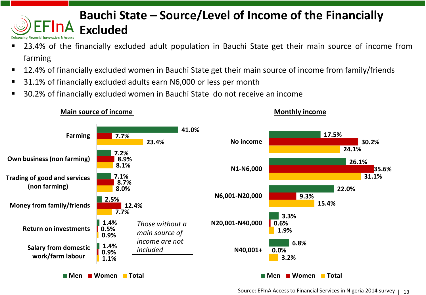# **Bauchi State – Source/Level of Income of the Financially Excluded** Einancial Innovation :

- 23.4% of the financially excluded adult population in Bauchi State get their main source of income from farming
- 12.4% of financially excluded women in Bauchi State get their main source of income from family/friends
- 31.1% of financially excluded adults earn N6,000 or less per month
- 30.2% of financially excluded women in Bauchi State do not receive an income



**Main source of income Monthly income Monthly income**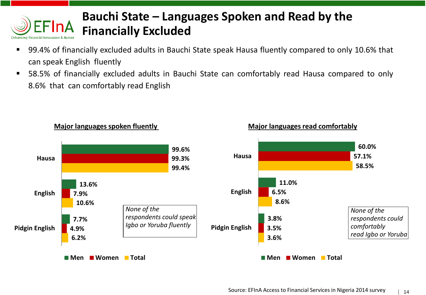

# **Bauchi State – Languages Spoken and Read by the Financially Excluded**

- 99.4% of financially excluded adults in Bauchi State speak Hausa fluently compared to only 10.6% that can speak English fluently
- 58.5% of financially excluded adults in Bauchi State can comfortably read Hausa compared to only 8.6% that can comfortably read English

**Major languages spoken fluently and all anguages read comfortably** 

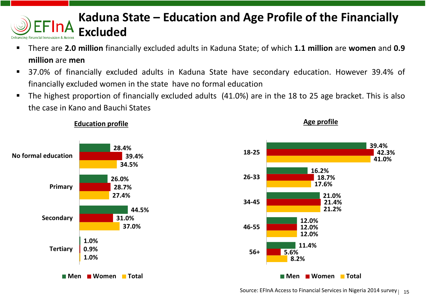## **Kaduna State – Education and Age Profile of the Financially Excluded** Einancial Innovation :

- There are **2.0 million** financially excluded adults in Kaduna State; of which **1.1 million** are **women** and **0.9 million** are **men**
- 37.0% of financially excluded adults in Kaduna State have secondary education. However 39.4% of financially excluded women in the state have no formal education
- The highest proportion of financially excluded adults (41.0%) are in the 18 to 25 age bracket. This is also the case in Kano and Bauchi States





**Age profile**

### **Education profile**

Source: EFInA Access to Financial Services in Nigeria 2014 survey<sub>|</sub> 15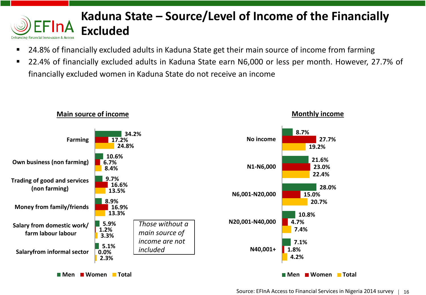## **Kaduna State – Source/Level of Income of the Financially Excluded** Enhancing Financial Innovation & Acces

- 24.8% of financially excluded adults in Kaduna State get their main source of income from farming
- 22.4% of financially excluded adults in Kaduna State earn N6,000 or less per month. However, 27.7% of financially excluded women in Kaduna State do not receive an income

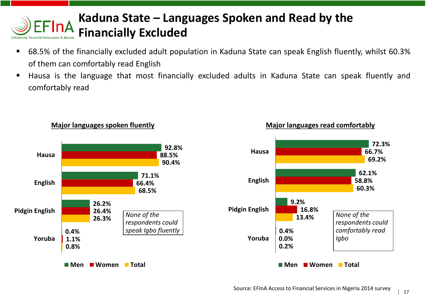#### **Kaduna State – Languages Spoken and Read by the EFInA Financially Excluded** Enhancing Financial Innovation & Acces

- 68.5% of the financially excluded adult population in Kaduna State can speak English fluently, whilst 60.3% of them can comfortably read English
- Hausa is the language that most financially excluded adults in Kaduna State can speak fluently and comfortably read





### **Major languages spoken fluently and all anguages read comfortably Major languages read comfortably**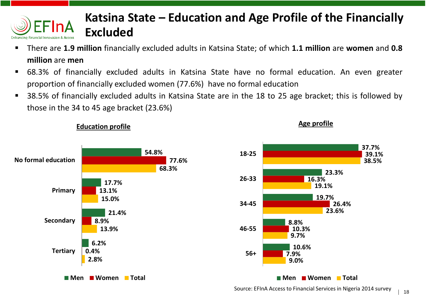

# **Katsina State – Education and Age Profile of the Financially Excluded**

- There are **1.9 million** financially excluded adults in Katsina State; of which **1.1 million** are **women** and **0.8 million** are **men**
- 68.3% of financially excluded adults in Katsina State have no formal education. An even greater proportion of financially excluded women (77.6%) have no formal education
- 38.5% of financially excluded adults in Katsina State are in the 18 to 25 age bracket; this is followed by those in the 34 to 45 age bracket (23.6%)





**37.7%**

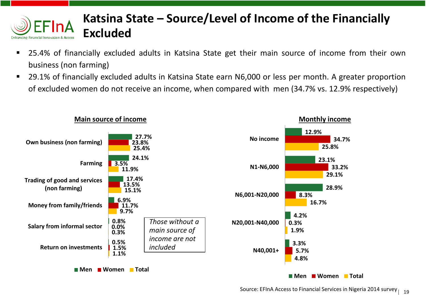

# **Katsina State – Source/Level of Income of the Financially Excluded**

- 25.4% of financially excluded adults in Katsina State get their main source of income from their own business (non farming)
- 29.1% of financially excluded adults in Katsina State earn N6,000 or less per month. A greater proportion of excluded women do not receive an income, when compared with men (34.7% vs. 12.9% respectively)

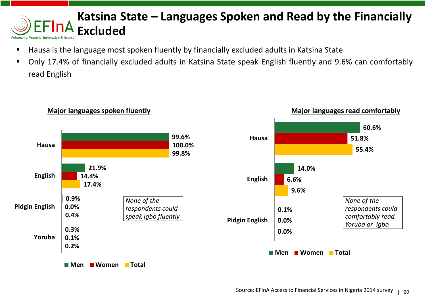### **Katsina State – Languages Spoken and Read by the Financially**  EFInA **Excluded** Enhancing Financial Innovation & Acces

- Hausa is the language most spoken fluently by financially excluded adults in Katsina State
- Only 17.4% of financially excluded adults in Katsina State speak English fluently and 9.6% can comfortably read English

**Major languages spoken fluently Major languages read comfortably**

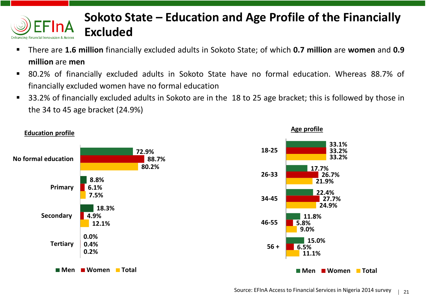

# **Sokoto State – Education and Age Profile of the Financially Excluded**

- There are **1.6 million** financially excluded adults in Sokoto State; of which **0.7 million** are **women** and **0.9 million** are **men**
- 80.2% of financially excluded adults in Sokoto State have no formal education. Whereas 88.7% of financially excluded women have no formal education
- 33.2% of financially excluded adults in Sokoto are in the 18 to 25 age bracket; this is followed by those in the 34 to 45 age bracket (24.9%)

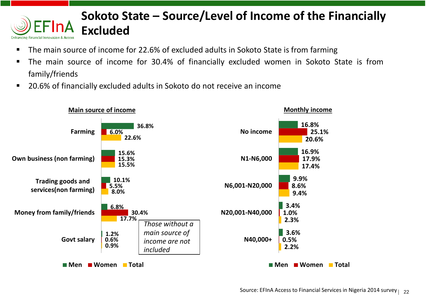# **Sokoto State – Source/Level of Income of the Financially Excluded Enhancing Financial Innovation & Access**

- The main source of income for 22.6% of excluded adults in Sokoto State is from farming
- The main source of income for 30.4% of financially excluded women in Sokoto State is from family/friends
- 20.6% of financially excluded adults in Sokoto do not receive an income

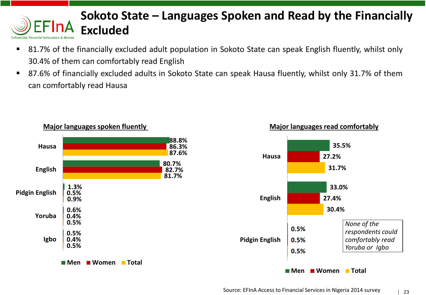# **Sokoto State – Languages Spoken and Read by the Financially Excluded Enhancing Financial Innovation & Access**

- 81.7% of the financially excluded adult population in Sokoto State can speak English fluently, whilst only 30.4% of them can comfortably read English
- 87.6% of financially excluded adults in Sokoto State can speak Hausa fluently, whilst only 31.7% of them can comfortably read Hausa



### **Major languages spoken fluently and all compares in the space of Major languages read comfortably**